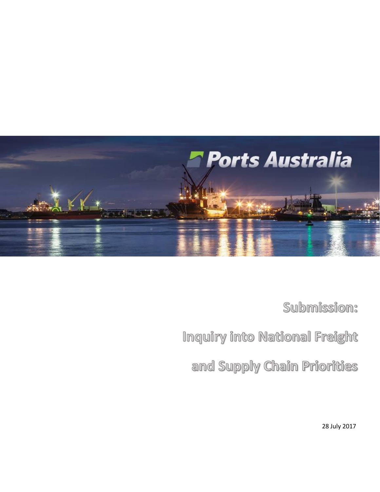

Submission:

Inquiry into National Freight

and Supply Chain Priorities

28 July 2017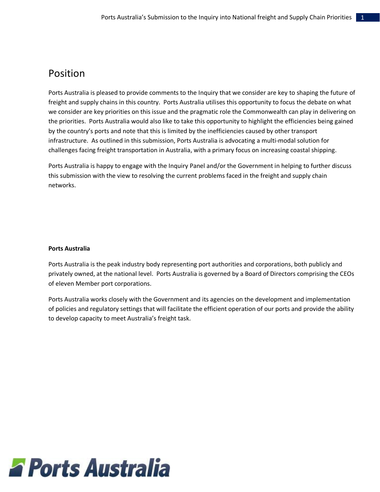# Position

Ports Australia is pleased to provide comments to the Inquiry that we consider are key to shaping the future of freight and supply chains in this country. Ports Australia utilises this opportunity to focus the debate on what we consider are key priorities on this issue and the pragmatic role the Commonwealth can play in delivering on the priorities. Ports Australia would also like to take this opportunity to highlight the efficiencies being gained by the country's ports and note that this is limited by the inefficiencies caused by other transport infrastructure. As outlined in this submission, Ports Australia is advocating a multi-modal solution for challenges facing freight transportation in Australia, with a primary focus on increasing coastal shipping.

Ports Australia is happy to engage with the Inquiry Panel and/or the Government in helping to further discuss this submission with the view to resolving the current problems faced in the freight and supply chain networks.

### **Ports Australia**

Ports Australia is the peak industry body representing port authorities and corporations, both publicly and privately owned, at the national level. Ports Australia is governed by a Board of Directors comprising the CEOs of eleven Member port corporations.

Ports Australia works closely with the Government and its agencies on the development and implementation of policies and regulatory settings that will facilitate the efficient operation of our ports and provide the ability to develop capacity to meet Australia's freight task.

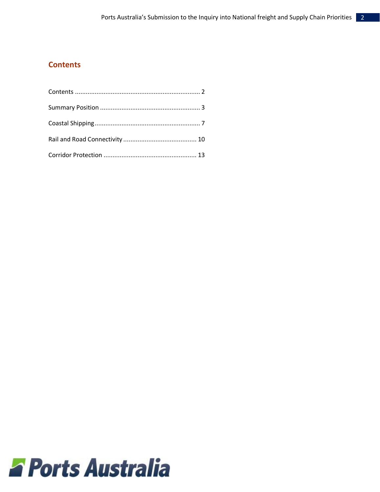### <span id="page-2-0"></span>**Contents**

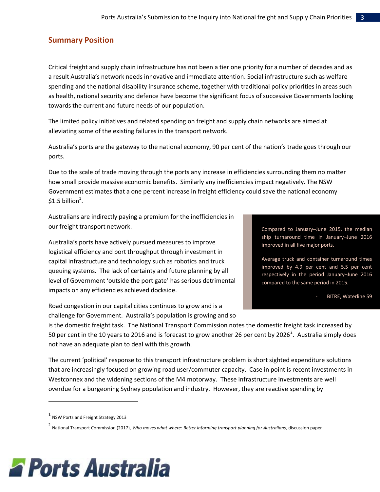### <span id="page-3-0"></span>**Summary Position**

Critical freight and supply chain infrastructure has not been a tier one priority for a number of decades and as a result Australia's network needs innovative and immediate attention. Social infrastructure such as welfare spending and the national disability insurance scheme, together with traditional policy priorities in areas such as health, national security and defence have become the significant focus of successive Governments looking towards the current and future needs of our population.

The limited policy initiatives and related spending on freight and supply chain networks are aimed at alleviating some of the existing failures in the transport network.

Australia's ports are the gateway to the national economy, 90 per cent of the nation's trade goes through our ports.

Due to the scale of trade moving through the ports any increase in efficiencies surrounding them no matter how small provide massive economic benefits. Similarly any inefficiencies impact negatively. The NSW Government estimates that a one percent increase in freight efficiency could save the national economy  $$1.5$  billion<sup>1</sup>.

Australians are indirectly paying a premium for the inefficiencies in our freight transport network.

Australia's ports have actively pursued measures to improve logistical efficiency and port throughput through investment in capital infrastructure and technology such as robotics and truck queuing systems. The lack of certainty and future planning by all level of Government 'outside the port gate' has serious detrimental impacts on any efficiencies achieved dockside.

Road congestion in our capital cities continues to grow and is a challenge for Government. Australia's population is growing and so

Compared to January–June 2015, the median ship turnaround time in January–June 2016 improved in all five major ports.

Average truck and container turnaround times improved by 4.9 per cent and 5.5 per cent respectively in the period January–June 2016 compared to the same period in 2015.

BITRE, Waterline 59

is the domestic freight task. The National Transport Commission notes the domestic freight task increased by 50 per cent in the 10 years to 2016 and is forecast to grow another 26 per cent by 2026<sup>2</sup>. Australia simply does not have an adequate plan to deal with this growth.

The current 'political' response to this transport infrastructure problem is short sighted expenditure solutions that are increasingly focused on growing road user/commuter capacity. Case in point is recent investments in Westconnex and the widening sections of the M4 motorway. These infrastructure investments are well overdue for a burgeoning Sydney population and industry. However, they are reactive spending by

 $\overline{\phantom{a}}$ 

<sup>2</sup> National Transport Commission (2017), *Who moves what where: Better informing transport planning for Australians*, discussion paper



 $^1$  NSW Ports and Freight Strategy 2013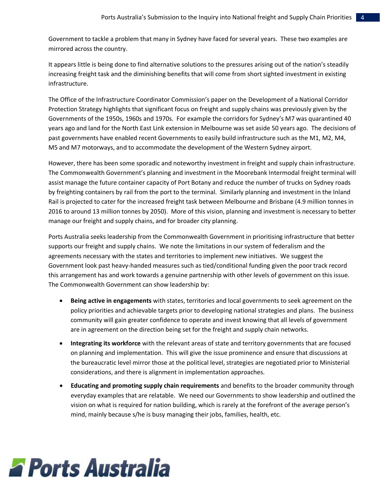Government to tackle a problem that many in Sydney have faced for several years. These two examples are mirrored across the country.

It appears little is being done to find alternative solutions to the pressures arising out of the nation's steadily increasing freight task and the diminishing benefits that will come from short sighted investment in existing infrastructure.

The Office of the Infrastructure Coordinator Commission's paper on the Development of a National Corridor Protection Strategy highlights that significant focus on freight and supply chains was previously given by the Governments of the 1950s, 1960s and 1970s. For example the corridors for Sydney's M7 was quarantined 40 years ago and land for the North East Link extension in Melbourne was set aside 50 years ago. The decisions of past governments have enabled recent Governments to easily build infrastructure such as the M1, M2, M4, M5 and M7 motorways, and to accommodate the development of the Western Sydney airport.

However, there has been some sporadic and noteworthy investment in freight and supply chain infrastructure. The Commonwealth Government's planning and investment in the Moorebank Intermodal freight terminal will assist manage the future container capacity of Port Botany and reduce the number of trucks on Sydney roads by freighting containers by rail from the port to the terminal. Similarly planning and investment in the Inland Rail is projected to cater for the increased freight task between Melbourne and Brisbane (4.9 million tonnes in 2016 to around 13 million tonnes by 2050). More of this vision, planning and investment is necessary to better manage our freight and supply chains, and for broader city planning.

Ports Australia seeks leadership from the Commonwealth Government in prioritising infrastructure that better supports our freight and supply chains. We note the limitations in our system of federalism and the agreements necessary with the states and territories to implement new initiatives. We suggest the Government look past heavy-handed measures such as tied/conditional funding given the poor track record this arrangement has and work towards a genuine partnership with other levels of government on this issue. The Commonwealth Government can show leadership by:

- **Being active in engagements** with states, territories and local governments to seek agreement on the policy priorities and achievable targets prior to developing national strategies and plans. The business community will gain greater confidence to operate and invest knowing that all levels of government are in agreement on the direction being set for the freight and supply chain networks.
- **Integrating its workforce** with the relevant areas of state and territory governments that are focused on planning and implementation. This will give the issue prominence and ensure that discussions at the bureaucratic level mirror those at the political level, strategies are negotiated prior to Ministerial considerations, and there is alignment in implementation approaches.
- **Educating and promoting supply chain requirements** and benefits to the broader community through everyday examples that are relatable. We need our Governments to show leadership and outlined the vision on what is required for nation building, which is rarely at the forefront of the average person's mind, mainly because s/he is busy managing their jobs, families, health, etc.

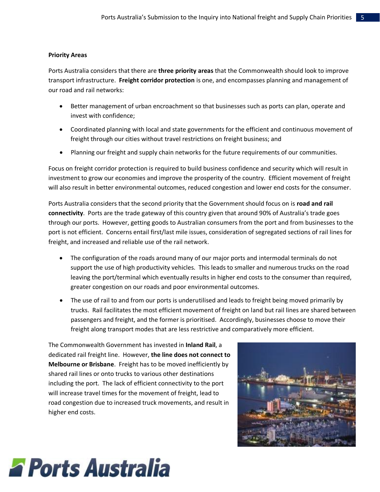#### **Priority Areas**

Ports Australia considers that there are **three priority areas** that the Commonwealth should look to improve transport infrastructure. **Freight corridor protection** is one, and encompasses planning and management of our road and rail networks:

- Better management of urban encroachment so that businesses such as ports can plan, operate and invest with confidence;
- Coordinated planning with local and state governments for the efficient and continuous movement of freight through our cities without travel restrictions on freight business; and
- Planning our freight and supply chain networks for the future requirements of our communities.

Focus on freight corridor protection is required to build business confidence and security which will result in investment to grow our economies and improve the prosperity of the country. Efficient movement of freight will also result in better environmental outcomes, reduced congestion and lower end costs for the consumer.

Ports Australia considers that the second priority that the Government should focus on is **road and rail connectivity**. Ports are the trade gateway of this country given that around 90% of Australia's trade goes through our ports. However, getting goods to Australian consumers from the port and from businesses to the port is not efficient. Concerns entail first/last mile issues, consideration of segregated sections of rail lines for freight, and increased and reliable use of the rail network.

- The configuration of the roads around many of our major ports and intermodal terminals do not support the use of high productivity vehicles. This leads to smaller and numerous trucks on the road leaving the port/terminal which eventually results in higher end costs to the consumer than required, greater congestion on our roads and poor environmental outcomes.
- The use of rail to and from our ports is underutilised and leads to freight being moved primarily by trucks. Rail facilitates the most efficient movement of freight on land but rail lines are shared between passengers and freight, and the former is prioritised. Accordingly, businesses choose to move their freight along transport modes that are less restrictive and comparatively more efficient.

The Commonwealth Government has invested in **Inland Rail**, a dedicated rail freight line. However, **the line does not connect to Melbourne or Brisbane**. Freight has to be moved inefficiently by shared rail lines or onto trucks to various other destinations including the port. The lack of efficient connectivity to the port will increase travel times for the movement of freight, lead to road congestion due to increased truck movements, and result in higher end costs.



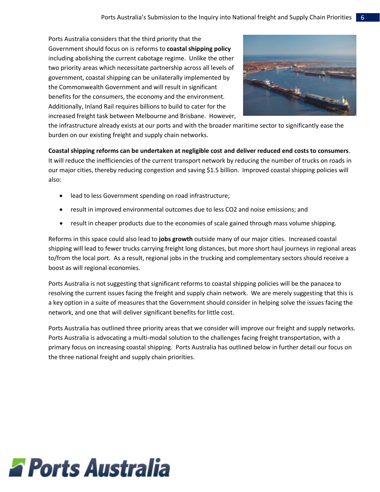Ports Australia considers that the third priority that the Government should focus on is reforms to **coastal shipping policy** including abolishing the current cabotage regime. Unlike the other two priority areas which necessitate partnership across all levels of government, coastal shipping can be unilaterally implemented by the Commonwealth Government and will result in significant benefits for the consumers, the economy and the environment. Additionally, Inland Rail requires billions to build to cater for the increased freight task between Melbourne and Brisbane. However,



the infrastructure already exists at our ports and with the broader maritime sector to significantly ease the burden on our existing freight and supply chain networks.

**Coastal shipping reforms can be undertaken at negligible cost and deliver reduced end costs to consumers**. It will reduce the inefficiencies of the current transport network by reducing the number of trucks on roads in our major cities, thereby reducing congestion and saving \$1.5 billion. Improved coastal shipping policies will also:

- lead to less Government spending on road infrastructure;
- result in improved environmental outcomes due to less CO2 and noise emissions; and
- result in cheaper products due to the economies of scale gained through mass volume shipping.

Reforms in this space could also lead to **jobs growth** outside many of our major cities. Increased coastal shipping will lead to fewer trucks carrying freight long distances, but more short haul journeys in regional areas to/from the local port. As a result, regional jobs in the trucking and complementary sectors should receive a boost as will regional economies.

Ports Australia is not suggesting that significant reforms to coastal shipping policies will be the panacea to resolving the current issues facing the freight and supply chain network. We are merely suggesting that this is a key option in a suite of measures that the Government should consider in helping solve the issues facing the network, and one that will deliver significant benefits for little cost.

Ports Australia has outlined three priority areas that we consider will improve our freight and supply networks. Ports Australia is advocating a multi-modal solution to the challenges facing freight transportation, with a primary focus on increasing coastal shipping. Ports Australia has outlined below in further detail our focus on the three national freight and supply chain priorities.

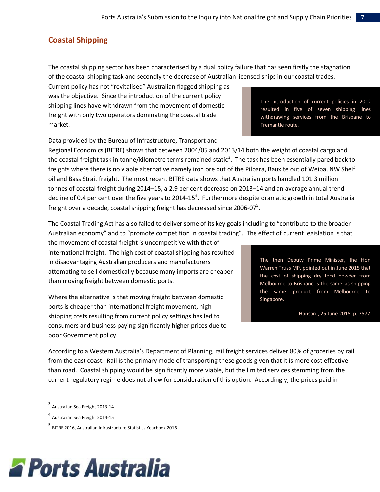# <span id="page-7-0"></span>**Coastal Shipping**

The coastal shipping sector has been characterised by a dual policy failure that has seen firstly the stagnation of the coastal shipping task and secondly the decrease of Australian licensed ships in our coastal trades.

Current policy has not "revitalised" Australian flagged shipping as was the objective. Since the introduction of the current policy shipping lines have withdrawn from the movement of domestic freight with only two operators dominating the coastal trade market.

Data provided by the Bureau of Infrastructure, Transport and

Regional Economics (BITRE) shows that between 2004/05 and 2013/14 both the weight of coastal cargo and the coastal freight task in tonne/kilometre terms remained static<sup>3</sup>. The task has been essentially pared back to freights where there is no viable alternative namely iron ore out of the Pilbara, Bauxite out of Weipa, NW Shelf oil and Bass Strait freight. The most recent BITRE data shows that Australian ports handled 101.3 million tonnes of coastal freight during 2014–15, a 2.9 per cent decrease on 2013–14 and an average annual trend decline of 0.4 per cent over the five years to 2014-15<sup>4</sup>. Furthermore despite dramatic growth in total Australia freight over a decade, coastal shipping freight has decreased since 2006-07 $^5$ .

The Coastal Trading Act has also failed to deliver some of its key goals including to "contribute to the broader Australian economy" and to "promote competition in coastal trading". The effect of current legislation is that

the movement of coastal freight is uncompetitive with that of international freight. The high cost of coastal shipping has resulted in disadvantaging Australian producers and manufacturers attempting to sell domestically because many imports are cheaper than moving freight between domestic ports.

Where the alternative is that moving freight between domestic ports is cheaper than international freight movement, high shipping costs resulting from current policy settings has led to consumers and business paying significantly higher prices due to poor Government policy.

According to a Western Australia's Department of Planning, rail freight services deliver 80% of groceries by rail

from the east coast. Rail is the primary mode of transporting these goods given that it is more cost effective than road. Coastal shipping would be significantly more viable, but the limited services stemming from the current regulatory regime does not allow for consideration of this option. Accordingly, the prices paid in

 $\overline{\phantom{a}}$ 



The introduction of current policies in 2012 resulted in five of seven shipping lines withdrawing services from the Brisbane to Fremantle route.

The then Deputy Prime Minister, the Hon Warren Truss MP, pointed out in June 2015 that the cost of shipping dry food powder from Melbourne to Brisbane is the same as shipping the same product from Melbourne to Singapore.

- Hansard, 25 June 2015, p. 7577

<sup>&</sup>lt;sup>3</sup> Australian Sea Freight 2013-14

<sup>4</sup> Australian Sea Freight 2014-15

<sup>&</sup>lt;sup>5</sup> BITRE 2016, Australian Infrastructure Statistics Yearbook 2016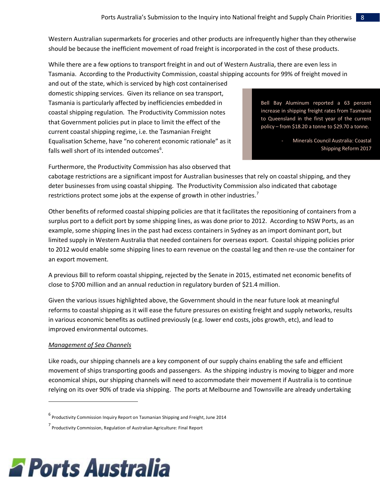Western Australian supermarkets for groceries and other products are infrequently higher than they otherwise should be because the inefficient movement of road freight is incorporated in the cost of these products.

While there are a few options to transport freight in and out of Western Australia, there are even less in Tasmania. According to the Productivity Commission, coastal shipping accounts for 99% of freight moved in

and out of the state, which is serviced by high cost containerised domestic shipping services. Given its reliance on sea transport, Tasmania is particularly affected by inefficiencies embedded in coastal shipping regulation. The Productivity Commission notes that Government policies put in place to limit the effect of the current coastal shipping regime, i.e. the Tasmanian Freight Equalisation Scheme, have "no coherent economic rationale" as it falls well short of its intended outcomes<sup>6</sup>.

Bell Bay Aluminum reported a 63 percent increase in shipping freight rates from Tasmania to Queensland in the first year of the current policy – from \$18.20 a tonne to \$29.70 a tonne.

> Minerals Council Australia: Coastal Shipping Reform 2017

Furthermore, the Productivity Commission has also observed that

cabotage restrictions are a significant impost for Australian businesses that rely on coastal shipping, and they deter businesses from using coastal shipping. The Productivity Commission also indicated that cabotage restrictions protect some jobs at the expense of growth in other industries.<sup>7</sup>

Other benefits of reformed coastal shipping policies are that it facilitates the repositioning of containers from a surplus port to a deficit port by some shipping lines, as was done prior to 2012. According to NSW Ports, as an example, some shipping lines in the past had excess containers in Sydney as an import dominant port, but limited supply in Western Australia that needed containers for overseas export. Coastal shipping policies prior to 2012 would enable some shipping lines to earn revenue on the coastal leg and then re-use the container for an export movement.

A previous Bill to reform coastal shipping, rejected by the Senate in 2015, estimated net economic benefits of close to \$700 million and an annual reduction in regulatory burden of \$21.4 million.

Given the various issues highlighted above, the Government should in the near future look at meaningful reforms to coastal shipping as it will ease the future pressures on existing freight and supply networks, results in various economic benefits as outlined previously (e.g. lower end costs, jobs growth, etc), and lead to improved environmental outcomes.

### *Management of Sea Channels*

 $\overline{\phantom{a}}$ 

Like roads, our shipping channels are a key component of our supply chains enabling the safe and efficient movement of ships transporting goods and passengers. As the shipping industry is moving to bigger and more economical ships, our shipping channels will need to accommodate their movement if Australia is to continue relying on its over 90% of trade via shipping. The ports at Melbourne and Townsville are already undertaking



<sup>&</sup>lt;sup>6</sup><br>Productivity Commission Inquiry Report on Tasmanian Shipping and Freight, June 2014

<sup>7&</sup>lt;br>Productivity Commission, Regulation of Australian Agriculture: Final Report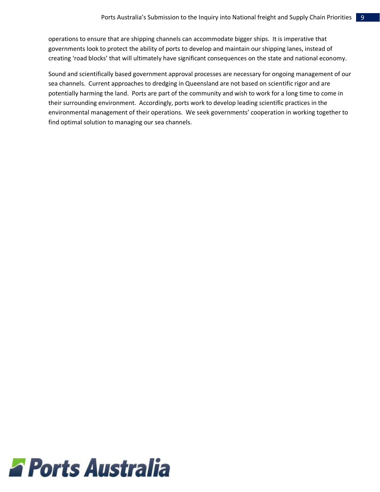operations to ensure that are shipping channels can accommodate bigger ships. It is imperative that governments look to protect the ability of ports to develop and maintain our shipping lanes, instead of creating 'road blocks' that will ultimately have significant consequences on the state and national economy.

<span id="page-9-0"></span>Sound and scientifically based government approval processes are necessary for ongoing management of our sea channels. Current approaches to dredging in Queensland are not based on scientific rigor and are potentially harming the land. Ports are part of the community and wish to work for a long time to come in their surrounding environment. Accordingly, ports work to develop leading scientific practices in the environmental management of their operations. We seek governments' cooperation in working together to find optimal solution to managing our sea channels.

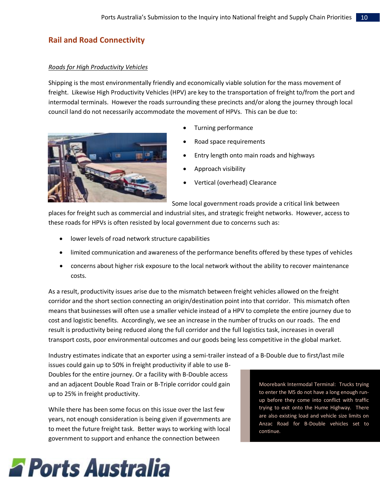# **Rail and Road Connectivity**

### *Roads for High Productivity Vehicles*

Shipping is the most environmentally friendly and economically viable solution for the mass movement of freight. Likewise High Productivity Vehicles (HPV) are key to the transportation of freight to/from the port and intermodal terminals. However the roads surrounding these precincts and/or along the journey through local council land do not necessarily accommodate the movement of HPVs. This can be due to:

- 
- Turning performance
- Road space requirements
- Entry length onto main roads and highways
- Approach visibility
- Vertical (overhead) Clearance

Some local government roads provide a critical link between

places for freight such as commercial and industrial sites, and strategic freight networks. However, access to these roads for HPVs is often resisted by local government due to concerns such as:

- lower levels of road network structure capabilities
- limited communication and awareness of the performance benefits offered by these types of vehicles
- concerns about higher risk exposure to the local network without the ability to recover maintenance costs.

As a result, productivity issues arise due to the mismatch between freight vehicles allowed on the freight corridor and the short section connecting an origin/destination point into that corridor. This mismatch often means that businesses will often use a smaller vehicle instead of a HPV to complete the entire journey due to cost and logistic benefits. Accordingly, we see an increase in the number of trucks on our roads. The end result is productivity being reduced along the full corridor and the full logistics task, increases in overall transport costs, poor environmental outcomes and our goods being less competitive in the global market.

Industry estimates indicate that an exporter using a semi-trailer instead of a B-Double due to first/last mile

issues could gain up to 50% in freight productivity if able to use B-Doubles for the entire journey. Or a facility with B-Double access and an adjacent Double Road Train or B-Triple corridor could gain up to 25% in freight productivity.

While there has been some focus on this issue over the last few years, not enough consideration is being given if governments are to meet the future freight task. Better ways to working with local government to support and enhance the connection between

Moorebank Intermodal Terminal: Trucks trying to enter the M5 do not have a long enough runup before they come into conflict with traffic trying to exit onto the Hume Highway. There are also existing load and vehicle size limits on Anzac Road for B-Double vehicles set to continue.

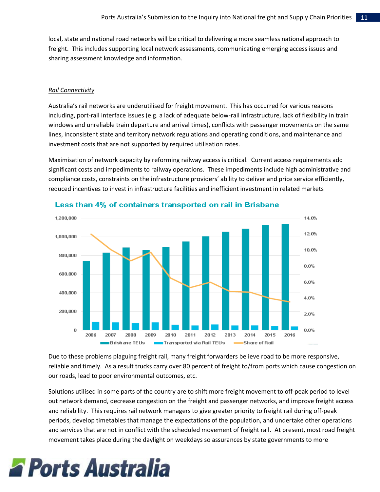local, state and national road networks will be critical to delivering a more seamless national approach to freight. This includes supporting local network assessments, communicating emerging access issues and sharing assessment knowledge and information.

### *Rail Connectivity*

Australia's rail networks are underutilised for freight movement. This has occurred for various reasons including, port-rail interface issues (e.g. a lack of adequate below-rail infrastructure, lack of flexibility in train windows and unreliable train departure and arrival times), conflicts with passenger movements on the same lines, inconsistent state and territory network regulations and operating conditions, and maintenance and investment costs that are not supported by required utilisation rates.

Maximisation of network capacity by reforming railway access is critical. Current access requirements add significant costs and impediments to railway operations. These impediments include high administrative and compliance costs, constraints on the infrastructure providers' ability to deliver and price service efficiently, reduced incentives to invest in infrastructure facilities and inefficient investment in related markets



### Less than 4% of containers transported on rail in Brisbane

Due to these problems plaguing freight rail, many freight forwarders believe road to be more responsive, reliable and timely. As a result trucks carry over 80 percent of freight to/from ports which cause congestion on our roads, lead to poor environmental outcomes, etc.

Solutions utilised in some parts of the country are to shift more freight movement to off-peak period to level out network demand, decrease congestion on the freight and passenger networks, and improve freight access and reliability. This requires rail network managers to give greater priority to freight rail during off-peak periods, develop timetables that manage the expectations of the population, and undertake other operations and services that are not in conflict with the scheduled movement of freight rail. At present, most road freight movement takes place during the daylight on weekdays so assurances by state governments to more

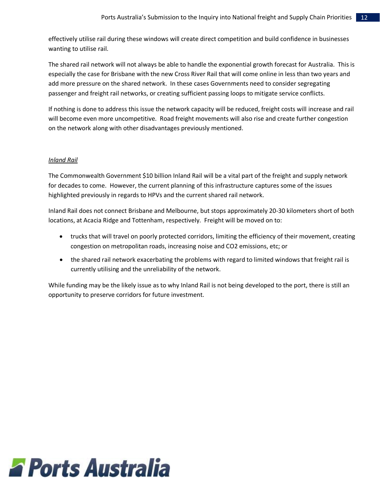effectively utilise rail during these windows will create direct competition and build confidence in businesses wanting to utilise rail.

The shared rail network will not always be able to handle the exponential growth forecast for Australia. This is especially the case for Brisbane with the new Cross River Rail that will come online in less than two years and add more pressure on the shared network. In these cases Governments need to consider segregating passenger and freight rail networks, or creating sufficient passing loops to mitigate service conflicts.

If nothing is done to address this issue the network capacity will be reduced, freight costs will increase and rail will become even more uncompetitive. Road freight movements will also rise and create further congestion on the network along with other disadvantages previously mentioned.

### *Inland Rail*

The Commonwealth Government \$10 billion Inland Rail will be a vital part of the freight and supply network for decades to come. However, the current planning of this infrastructure captures some of the issues highlighted previously in regards to HPVs and the current shared rail network.

Inland Rail does not connect Brisbane and Melbourne, but stops approximately 20-30 kilometers short of both locations, at Acacia Ridge and Tottenham, respectively. Freight will be moved on to:

- trucks that will travel on poorly protected corridors, limiting the efficiency of their movement, creating congestion on metropolitan roads, increasing noise and CO2 emissions, etc; or
- the shared rail network exacerbating the problems with regard to limited windows that freight rail is currently utilising and the unreliability of the network.

While funding may be the likely issue as to why Inland Rail is not being developed to the port, there is still an opportunity to preserve corridors for future investment.

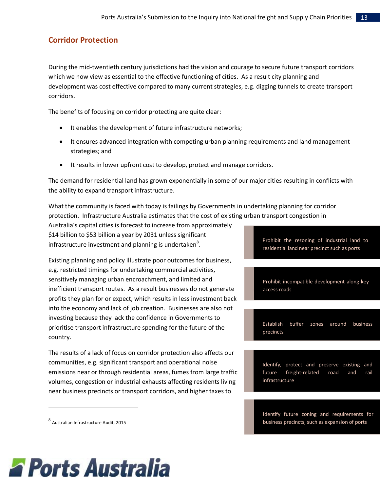## <span id="page-13-0"></span>**Corridor Protection**

During the mid-twentieth century jurisdictions had the vision and courage to secure future transport corridors which we now view as essential to the effective functioning of cities. As a result city planning and development was cost effective compared to many current strategies, e.g. digging tunnels to create transport corridors.

The benefits of focusing on corridor protecting are quite clear:

- It enables the development of future infrastructure networks;
- It ensures advanced integration with competing urban planning requirements and land management strategies; and
- It results in lower upfront cost to develop, protect and manage corridors.

The demand for residential land has grown exponentially in some of our major cities resulting in conflicts with the ability to expand transport infrastructure.

What the community is faced with today is failings by Governments in undertaking planning for corridor protection. Infrastructure Australia estimates that the cost of existing urban transport congestion in

Australia's capital cities is forecast to increase from approximately \$14 billion to \$53 billion a year by 2031 unless significant infrastructure investment and planning is undertaken $^{8}$ .

Existing planning and policy illustrate poor outcomes for business, e.g. restricted timings for undertaking commercial activities, sensitively managing urban encroachment, and limited and inefficient transport routes. As a result businesses do not generate profits they plan for or expect, which results in less investment back into the economy and lack of job creation. Businesses are also not investing because they lack the confidence in Governments to prioritise transport infrastructure spending for the future of the country.

The results of a lack of focus on corridor protection also affects our communities, e.g. significant transport and operational noise emissions near or through residential areas, fumes from large traffic volumes, congestion or industrial exhausts affecting residents living near business precincts or transport corridors, and higher taxes to

8 Australian Infrastructure Audit, 2015

 $\overline{a}$ 

Prohibit the rezoning of industrial land to residential land near precinct such as ports

Prohibit incompatible development along key access roads

Establish buffer zones around business precincts

Identify, protect and preserve existing and future freight-related road and rail infrastructure

Identify future zoning and requirements for business precincts, such as expansion of ports